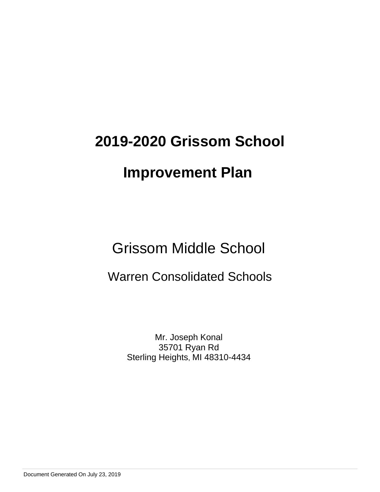# **2019-2020 Grissom School**

# **Improvement Plan**

Grissom Middle School

## Warren Consolidated Schools

Mr. Joseph Konal 35701 Ryan Rd Sterling Heights, MI 48310-4434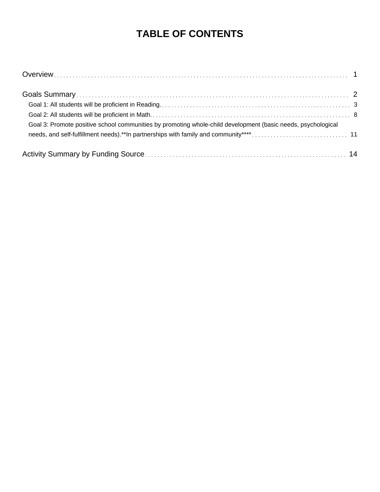## **TABLE OF CONTENTS**

| Goal 3: Promote positive school communities by promoting whole-child development (basic needs, psychological |  |
|--------------------------------------------------------------------------------------------------------------|--|
|                                                                                                              |  |
|                                                                                                              |  |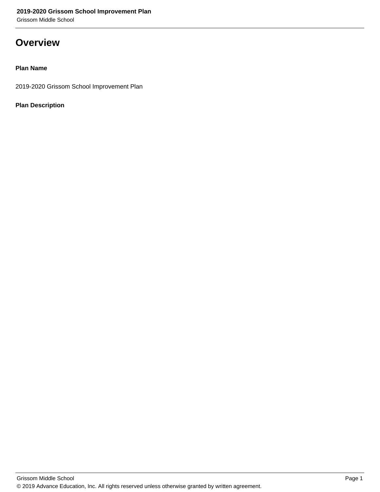Grissom Middle School

### **Overview**

#### **Plan Name**

2019-2020 Grissom School Improvement Plan

#### **Plan Description**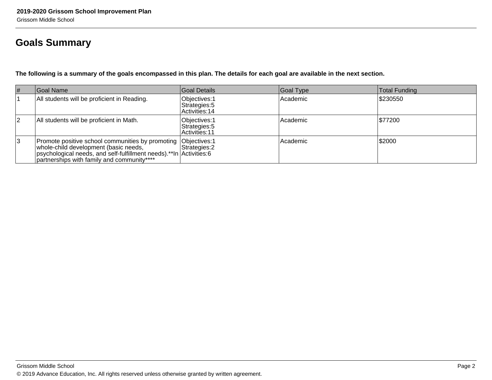## **Goals Summary**

**The following is a summary of the goals encompassed in this plan. The details for each goal are available in the next section.**

| $\vert \#$ | Goal Name                                                                                                                                                                                                                    | Goal Details                                     | Goal Type  | Total Funding |
|------------|------------------------------------------------------------------------------------------------------------------------------------------------------------------------------------------------------------------------------|--------------------------------------------------|------------|---------------|
|            | All students will be proficient in Reading.                                                                                                                                                                                  | Objectives: 1<br>Strategies: 5<br>Activities: 14 | Academic   | \$230550      |
| 2          | All students will be proficient in Math.                                                                                                                                                                                     | Objectives: 1<br>Strategies: 5<br>Activities: 11 | l Academic | \$77200       |
| 3          | Promote positive school communities by promoting Objectives: 1<br>whole-child development (basic needs,<br>psychological needs, and self-fulfillment needs).**In Activities: 6<br>partnerships with family and community**** | Strategies: 2                                    | Academic   | \$2000        |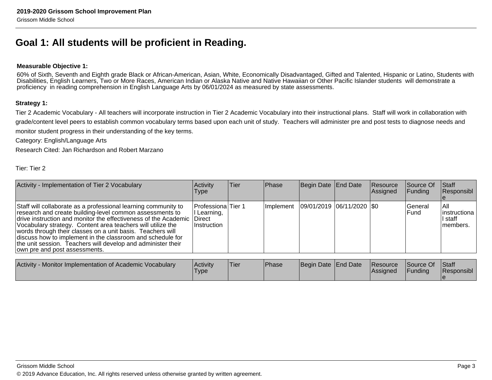### **Goal 1: All students will be proficient in Reading.**

#### **Measurable Objective 1:**

60% of Sixth, Seventh and Eighth grade Black or African-American, Asian, White, Economically Disadvantaged, Gifted and Talented, Hispanic or Latino, Students withDisabilities, English Learners, Two or More Races, American Indian or Alaska Native and Native Hawaiian or Other Pacific Islander students will demonstrate aproficiency in reading comprehension in English Language Arts by 06/01/2024 as measured by state assessments.

#### **Strategy 1:**

Tier 2 Academic Vocabulary - All teachers will incorporate instruction in Tier 2 Academic Vocabulary into their instructional plans. Staff will work in collaboration with grade/content level peers to establish common vocabulary terms based upon each unit of study. Teachers will administer pre and post tests to diagnose needs andmonitor student progress in their understanding of the key terms.

Category: English/Language Arts

Research Cited: Jan Richardson and Robert Marzano

| Activity - Implementation of Tier 2 Vocabulary                                                                                                                                                                                                                                                                                                                                                                                                                                                   | Activity<br><b>Type</b>                                 | lTier. | Phase     | Begin Date End Date     | Resource<br>Assigned | Source Of<br>Funding     | Staff<br>Responsibl                           |
|--------------------------------------------------------------------------------------------------------------------------------------------------------------------------------------------------------------------------------------------------------------------------------------------------------------------------------------------------------------------------------------------------------------------------------------------------------------------------------------------------|---------------------------------------------------------|--------|-----------|-------------------------|----------------------|--------------------------|-----------------------------------------------|
| Staff will collaborate as a professional learning community to<br>research and create building-level common assessments to<br>drive instruction and monitor the effectiveness of the Academic Direct<br>Vocabulary strategy. Content area teachers will utilize the<br>words through their classes on a unit basis. Teachers will<br>discuss how to implement in the classroom and schedule for<br>the unit session. Teachers will develop and administer their<br>own pre and post assessments. | Professiona Tier 1<br>I Learning,<br><b>Instruction</b> |        | Implement | 09/01/2019 06/11/2020 0 |                      | <b>IGeneral</b><br>IFund | IAII<br>linstructiona<br>I staff<br>Imembers. |
| .                                                                                                                                                                                                                                                                                                                                                                                                                                                                                                | $\mathbf{A}$ and $\mathbf{A}$                           |        |           |                         |                      |                          | $\sim$ $\sim$ $\sim$                          |

| Activity - Monitor Implementation of Academic Vocabulary | Activity<br>'Type | 'Tier | <b>Phase</b> | Begin Date   End Date | Resource<br><b>IAssianed</b> | <b>Source Of</b><br><b>Funding</b> | <b>Staff</b><br><b>Responsibl</b> |
|----------------------------------------------------------|-------------------|-------|--------------|-----------------------|------------------------------|------------------------------------|-----------------------------------|
|                                                          |                   |       |              |                       |                              |                                    |                                   |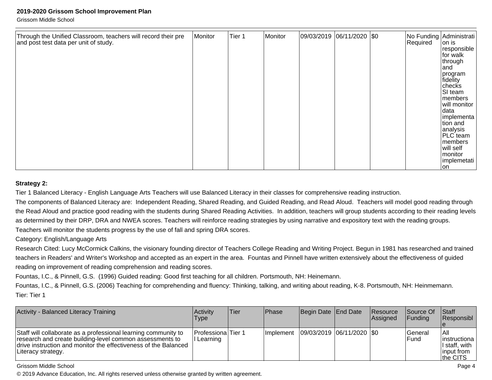Grissom Middle School

| Through the Unified Classroom, teachers will record their pre<br>Monitor<br>and post test data per unit of study. | Tier 1 |  |  | 09/03/2019 06/11/2020 \$0 |  | Required | No Funding Administrati<br>on is<br>responsible<br>for walk<br>through<br>land<br> program<br>fidelity<br>$ {\rm checks} $<br>SI team<br>members<br>will monitor<br>data<br>implementa<br>tion and<br>analysis<br><b>PLC</b> team<br>members<br>will self<br>monitor<br>implemetati<br>lon |
|-------------------------------------------------------------------------------------------------------------------|--------|--|--|---------------------------|--|----------|--------------------------------------------------------------------------------------------------------------------------------------------------------------------------------------------------------------------------------------------------------------------------------------------|
|-------------------------------------------------------------------------------------------------------------------|--------|--|--|---------------------------|--|----------|--------------------------------------------------------------------------------------------------------------------------------------------------------------------------------------------------------------------------------------------------------------------------------------------|

#### **Strategy 2:**

Tier 1 Balanced Literacy - English Language Arts Teachers will use Balanced Literacy in their classes for comprehensive reading instruction.

The components of Balanced Literacy are: Independent Reading, Shared Reading, and Guided Reading, and Read Aloud. Teachers will model good reading through the Read Aloud and practice good reading with the students during Shared Reading Activities. In addition, teachers will group students according to their reading levelsas determined by their DRP, DRA and NWEA scores. Teachers will reinforce reading strategies by using narrative and expository text with the reading groups.Teachers will monitor the students progress by the use of fall and spring DRA scores.

Category: English/Language Arts

Research Cited: Lucy McCormick Calkins, the visionary founding director of Teachers College Reading and Writing Project. Begun in 1981 has researched and trainedteachers in Readers' and Writer's Workshop and accepted as an expert in the area. Fountas and Pinnell have written extensively about the effectiveness of guidedreading on improvement of reading comprehension and reading scores.

Fountas, I.C., & Pinnell, G.S. (1996) Guided reading: Good first teaching for all children. Portsmouth, NH: Heinemann.

Fountas, I.C., & Pinnell, G.S. (2006) Teaching for comprehending and fluency: Thinking, talking, and writing about reading, K-8. Portsmouth, NH: Heinmemann.Tier: Tier 1

| Activity - Balanced Literacy Training                                                                                                                                                                               | <b>Activity</b><br><b>Type</b>    | Tier | Phase | Begin Date End Date |                                     | Resource<br>Assigned | <b>Source Of</b><br><b>IFunding</b> | <b>Staff</b><br>Responsibl                                          |
|---------------------------------------------------------------------------------------------------------------------------------------------------------------------------------------------------------------------|-----------------------------------|------|-------|---------------------|-------------------------------------|----------------------|-------------------------------------|---------------------------------------------------------------------|
| Staff will collaborate as a professional learning community to<br>research and create building-level common assessments to<br>drive instruction and monitor the effectiveness of the Balanced<br>Literacy strategy. | Professiona Tier 1<br>II Learning |      |       |                     | Implement 09/03/2019 06/11/2020 \$0 |                      | l General<br><b>IFund</b>           | l All<br>linstructiona<br>II staff. with<br>linput from<br>the CITS |

#### Grissom Middle School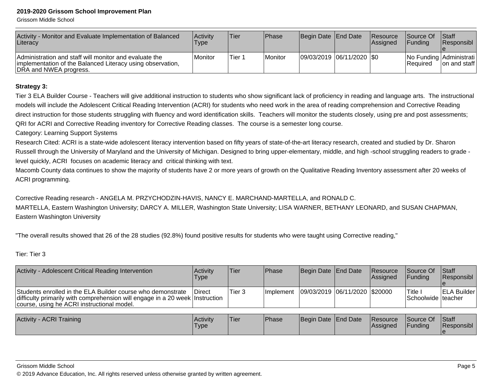Grissom Middle School

| Activity - Monitor and Evaluate Implementation of Balanced<br>Literacy                                                                         | Activity<br>Type | Tier   | Phase   | Begin Date End Date       | <b>Resource</b><br>Assigned | <b>Source Of</b><br><b>IFundina</b> | <b>Staff</b><br><b>Responsibl</b>       |
|------------------------------------------------------------------------------------------------------------------------------------------------|------------------|--------|---------|---------------------------|-----------------------------|-------------------------------------|-----------------------------------------|
| Administration and staff will monitor and evaluate the<br>implementation of the Balanced Literacy using observation,<br>DRA and NWEA progress. | Monitor          | Tier 1 | Monitor | 09/03/2019 06/11/2020 \$0 |                             | <b>IRequired</b>                    | No Funding Administrati<br>on and staff |

#### **Strategy 3:**

Tier 3 ELA Builder Course - Teachers will give additional instruction to students who show significant lack of proficiency in reading and language arts. The instructionalmodels will include the Adolescent Critical Reading Intervention (ACRI) for students who need work in the area of reading comprehension and Corrective Readingdirect instruction for those students struggling with fluency and word identification skills. Teachers will monitor the students closely, using pre and post assessments; QRI for ACRI and Corrective Reading inventory for Corrective Reading classes. The course is a semester long course.

#### Category: Learning Support Systems

Research Cited: ACRI is a state-wide adolescent literacy intervention based on fifty years of state-of-the-art literacy research, created and studied by Dr. Sharon Russell through the University of Maryland and the University of Michigan. Designed to bring upper-elementary, middle, and high -school struggling readers to grade level quickly, ACRI focuses on academic literacy and critical thinking with text.

Macomb County data continues to show the majority of students have 2 or more years of growth on the Qualitative Reading Inventory assessment after 20 weeks of ACRI programming.

Corrective Reading research - ANGELA M. PRZYCHODZIN-HAVIS, NANCY E. MARCHAND-MARTELLA, and RONALD C.MARTELLA, Eastern Washington University; DARCY A. MILLER, Washington State University; LISA WARNER, BETHANY LEONARD, and SUSAN CHAPMAN,Eastern Washington University

"The overall results showed that 26 of the 28 studies (92.8%) found positive results for students who were taught using Corrective reading,"

Tier: Tier 3

| Activity - Adolescent Critical Reading Intervention                                                                                                                                       | Activity<br>Type    | lTier. | <b>Phase</b>  | Begin Date End Date           | <b>Resource</b><br><b>Assigned</b> | Source Of<br><b>IFundina</b>   | Staff<br><b>Responsibl</b> |
|-------------------------------------------------------------------------------------------------------------------------------------------------------------------------------------------|---------------------|--------|---------------|-------------------------------|------------------------------------|--------------------------------|----------------------------|
| Students enrolled in the ELA Builder course who demonstrate<br>difficulty primarily with comprehension will engage in a 20 week Instruction<br>course, using he ACRI instructional model. | Direct              | Tier 3 | l Implement   | 09/03/2019 06/11/2020 \$20000 |                                    | Title .<br>Schoolwide Iteacher | <b>ELA Builder</b>         |
|                                                                                                                                                                                           |                     |        |               |                               |                                    |                                |                            |
| Activity - ACRI Training                                                                                                                                                                  | l A <i>r</i> tivitv | lTi≏r  | <b>IPhase</b> | <b>IRegin Date IFnd Date</b>  | <b>RASOUTCA</b>                    | <b>Source Of Staff</b>         |                            |

| <b>Activity - ACRI Training</b> | Activity<br>'Type | <b>Tier</b> | <b>IPhase</b> | Begin Date End Date |  | Resource<br><b>IAssianed</b> | Source Of<br><b>IFunding</b> | <b>Staff</b><br>Responsibl |
|---------------------------------|-------------------|-------------|---------------|---------------------|--|------------------------------|------------------------------|----------------------------|
|---------------------------------|-------------------|-------------|---------------|---------------------|--|------------------------------|------------------------------|----------------------------|

#### Grissom Middle School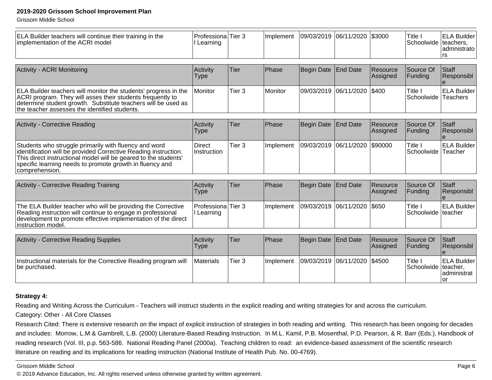Grissom Middle School

| Learning                |                   | Implement                                                |                   |                          | \$3000                                                                                                   | Title I              | <b>ELA Builder</b><br>admnistrato<br>rs                                                                                         |
|-------------------------|-------------------|----------------------------------------------------------|-------------------|--------------------------|----------------------------------------------------------------------------------------------------------|----------------------|---------------------------------------------------------------------------------------------------------------------------------|
|                         |                   |                                                          |                   |                          |                                                                                                          |                      |                                                                                                                                 |
| Activity<br><b>Type</b> | Tier              |                                                          | <b>Begin Date</b> |                          | Resource<br>Assigned                                                                                     | Source Of<br>Funding | Staff<br>Responsibl                                                                                                             |
| Monitor                 | Tier <sub>3</sub> | Monitor                                                  | 09/03/2019        |                          | \$400                                                                                                    | Title I              | <b>ELA Builder</b>                                                                                                              |
|                         |                   |                                                          |                   |                          |                                                                                                          |                      |                                                                                                                                 |
| <b>Type</b>             |                   |                                                          |                   |                          | Assigned                                                                                                 | Funding              | <b>Staff</b><br>Responsibl                                                                                                      |
| Direct<br>Instruction   | Tier <sub>3</sub> | Implement                                                | 09/03/2019        |                          | \$90000                                                                                                  | Title I              | <b>ELA Builder</b>                                                                                                              |
|                         |                   |                                                          |                   |                          |                                                                                                          |                      |                                                                                                                                 |
| Activity<br><b>Type</b> |                   | Phase                                                    | Begin Date        | <b>End Date</b>          | Resource<br>Assigned                                                                                     | Source Of<br>Funding | Staff<br>Responsibl                                                                                                             |
| I Learning              |                   | Implement                                                | 09/03/2019        |                          | \$650                                                                                                    | Title I              | <b>ELA Builder</b>                                                                                                              |
|                         |                   |                                                          |                   |                          |                                                                                                          |                      |                                                                                                                                 |
| Activity<br><b>Type</b> | Tier              | Phase                                                    | Begin Date        | <b>End Date</b>          | Resource<br>Assigned                                                                                     | Source Of<br>Funding | <b>Staff</b><br>Responsibl                                                                                                      |
| Materials               | Tier <sub>3</sub> | Implement                                                | 09/03/2019        |                          | \$4500                                                                                                   | Title I              | <b>ELA Builder</b><br>administrat<br>or                                                                                         |
|                         | Activity          | ProfessionalTier 3<br>Tier<br>Tier<br>ProfessionalTier 3 | Phase<br>Phase    | 09/03/2019<br>Begin Date | 06/11/2020<br><b>End Date</b><br>06/11/2020<br><b>End Date</b><br>06/11/2020<br>06/11/2020<br>06/11/2020 | Resource             | Schoolwide   teachers,<br>Schoolwide Teachers<br>Source Of<br>Schoolwide Teacher<br>Schoolwide teacher<br>Schoolwide   teacher, |

#### **Strategy 4:**

Reading and Writing Across the Curriculum - Teachers will instruct students in the explicit reading and writing strategies for and across the curriculum.

#### Category: Other - All Core Classes

Research Cited: There is extensive research on the impact of explicit instruction of strategies in both reading and writing. This research has been ongoing for decades and includes: Morrow, L.M & Gambrell, L.B. (2000) Literature-Based Reading Instruction. In M.L. Kamil, P.B. Mosenthal, P.D. Pearson, & R. Barr (Eds.), Handbook ofreading research (Vol. III, p.p. 563-586. National Reading Panel (2000a). Teaching children to read: an evidence-based assessment of the scientific researchliterature on reading and its implications for reading instruction (National Institute of Health Pub. No. 00-4769).

#### Grissom Middle School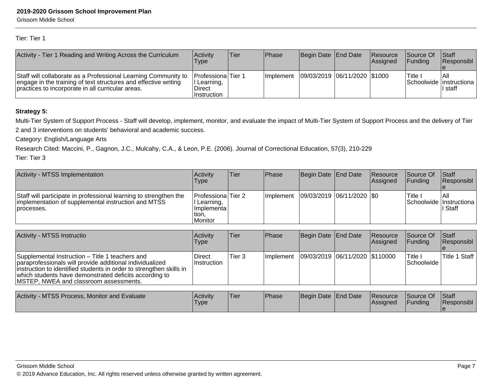Grissom Middle School

Tier: Tier 1

| Activity - Tier 1 Reading and Writing Across the Curriculum                                                                                                                            | <b>Activity</b><br>Type                                     | Tier | <b>IPhase</b>     | Begin Date End Date            | <b>Resource</b><br><b>Assianed</b> | <b>Source Of</b><br><b>IFundina</b> | <b>Staff</b><br><b>Responsibl</b>              |
|----------------------------------------------------------------------------------------------------------------------------------------------------------------------------------------|-------------------------------------------------------------|------|-------------------|--------------------------------|------------------------------------|-------------------------------------|------------------------------------------------|
| Staff will collaborate as a Professional Learning Community to<br>engage in the training of text structures and effective writing<br>practices to incorporate in all curricular areas. | Professiona Tier 1<br>I Learning,<br>Direct<br>∣Instruction |      | <b>Ilmplement</b> | 09/03/2019  06/11/2020  \$1000 |                                    | Title                               | IAII<br>Schoolwide   instructiona  <br>l staff |

#### **Strategy 5:**

Multi-Tier System of Support Process - Staff will develop, implement, monitor, and evaluate the impact of Multi-Tier System of Support Process and the delivery of Tier2 and 3 interventions on students' behavioral and academic success.

Category: English/Language Arts

Research Cited: Maccini, P., Gagnon, J.C., Mulcahy, C.A., & Leon, P.E. (2006). Journal of Correctional Education, 57(3), 210-229

| Activity - MTSS Implementation                                                                                                         | <b>Activity</b><br>Type                                                        | Tier | Phase      | Begin Date End Date         | Resource<br><b>Assigned</b> | <b>Source Of</b><br><b>IFunding</b> | <b>Staff</b><br><b>Responsibl</b>               |
|----------------------------------------------------------------------------------------------------------------------------------------|--------------------------------------------------------------------------------|------|------------|-----------------------------|-----------------------------|-------------------------------------|-------------------------------------------------|
| Staff will participate in professional learning to strengthen the<br>implementation of supplemental instruction and MTSS<br>processes. | <b>Professiona</b> Tier 2<br>Learning,<br>I Implementa l<br>tion.<br>l Monitor |      | Ilmplement | 09/03/2019  06/11/2020  \$0 |                             | Title i                             | IAII<br>Schoolwide   Instructiona  <br>II Staff |

| Activity - MTSS Instructio                                                                                                                                                                                                                                                             | Activity<br><b>Type</b>             | Tier              | <b>IPhase</b>     | Begin Date End Date              | Resource<br>Assigned | Source Of<br><b>IFundina</b>       | <b>Staff</b><br>Responsibl |
|----------------------------------------------------------------------------------------------------------------------------------------------------------------------------------------------------------------------------------------------------------------------------------------|-------------------------------------|-------------------|-------------------|----------------------------------|----------------------|------------------------------------|----------------------------|
| Supplemental Instruction – Title 1 teachers and<br>paraprofessionals will provide additional individualized<br>instruction to identified students in order to strengthen skills in<br>which students have demonstrated deficits according to<br>MSTEP, NWEA and classroom assessments. | <b>Direct</b><br><b>Instruction</b> | Tier <sub>3</sub> | <b>Ilmplement</b> | 09/03/2019  06/11/2020  \$110000 |                      | <sup>I</sup> Title I<br>Schoolwide | Title 1 Staff              |

| Activity - MTSS Process, Monitor and Evaluate | <b>Activity</b><br>'Type | 'Tier | <sup>I</sup> Phase | Begin Date End Date | <b>Resource</b><br><b>IAssigned</b> | Source Of<br><b>IFunding</b> | <b>Staff</b><br><b>Responsibl</b> |
|-----------------------------------------------|--------------------------|-------|--------------------|---------------------|-------------------------------------|------------------------------|-----------------------------------|
|                                               |                          |       |                    |                     |                                     |                              |                                   |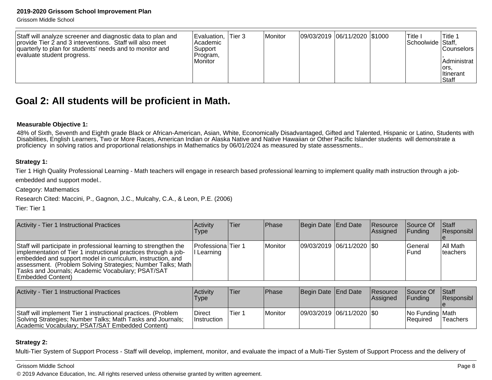Grissom Middle School

| Staff will analyze screener and diagnostic data to plan and<br>provide Tier 2 and 3 interventions. Staff will also meet<br>quarterly to plan for students' needs and to monitor and<br>evaluate student progress. | Evaluation.<br> Academic <br>Support<br>Program,<br>Monitor | Tier 3 | Monitor | 09/03/2019 06/11/2020 \$1000 |  |  | Title.<br>Schoolwide Staff, | 'Title 1<br><b>Counselors</b><br>Administrat<br>lors.<br><b>Iltinerant</b><br>Staff |
|-------------------------------------------------------------------------------------------------------------------------------------------------------------------------------------------------------------------|-------------------------------------------------------------|--------|---------|------------------------------|--|--|-----------------------------|-------------------------------------------------------------------------------------|
|-------------------------------------------------------------------------------------------------------------------------------------------------------------------------------------------------------------------|-------------------------------------------------------------|--------|---------|------------------------------|--|--|-----------------------------|-------------------------------------------------------------------------------------|

### **Goal 2: All students will be proficient in Math.**

#### **Measurable Objective 1:**

48% of Sixth, Seventh and Eighth grade Black or African-American, Asian, White, Economically Disadvantaged, Gifted and Talented, Hispanic or Latino, Students with<br>Disabilities, English Learners, Two or More Races, American proficiency in solving ratios and proportional relationships in Mathematics by 06/01/2024 as measured by state assessments..

#### **Strategy 1:**

Tier 1 High Quality Professional Learning - Math teachers will engage in research based professional learning to implement quality math instruction through a jobembedded and support model..

Category: Mathematics

Research Cited: Maccini, P., Gagnon, J.C., Mulcahy, C.A., & Leon, P.E. (2006)

Tier: Tier 1

| Activity - Tier 1 Instructional Practices                                                                                                                                                                                                                                                                                                    | Activitv<br>Type               | Tier | <b>IPhase</b> | Begin Date End Date           | Resource<br>Assigned | Source Of<br><b>IFunding</b> | <b>Staff</b><br>Responsibl |
|----------------------------------------------------------------------------------------------------------------------------------------------------------------------------------------------------------------------------------------------------------------------------------------------------------------------------------------------|--------------------------------|------|---------------|-------------------------------|----------------------|------------------------------|----------------------------|
| Staff will participate in professional learning to strengthen the<br>limplementation of Tier 1 instructional practices through a job-<br>embedded and support model in curriculum, instruction, and<br>assessment. (Problem Solving Strategies; Number Talks; Math<br>Tasks and Journals; Academic Vocabulary; PSAT/SAT<br>Embedded Content) | Professiona Tier 1<br>Learning |      | Monitor       | $ 09/03/2019 06/11/2020 $ \$0 |                      | lGeneral<br><b>IFund</b>     | All Math<br>Iteachers      |

| Activity - Tier 1 Instructional Practices                                                                                                                                      | Activity<br>Type              | Tier   | <b>IPhase</b> | Begin Date End Date         | <b>Resource</b><br><b>Assianed</b> | <b>Source Of</b><br><b>IFunding</b> | <b>Staff</b><br><b>Responsibl</b> |
|--------------------------------------------------------------------------------------------------------------------------------------------------------------------------------|-------------------------------|--------|---------------|-----------------------------|------------------------------------|-------------------------------------|-----------------------------------|
| Staff will implement Tier 1 instructional practices. (Problem<br>Solving Strategies; Number Talks; Math Tasks and Journals;<br>Academic Vocabulary; PSAT/SAT Embedded Content) | ∣Direct<br><b>Instruction</b> | Tier 1 | l Monitor     | 09/03/2019  06/11/2020  \$0 |                                    | No Funding Math<br>IReauired        | lTeachers                         |

#### **Strategy 2:**

Multi-Tier System of Support Process - Staff will develop, implement, monitor, and evaluate the impact of a Multi-Tier System of Support Process and the delivery of

#### Grissom Middle School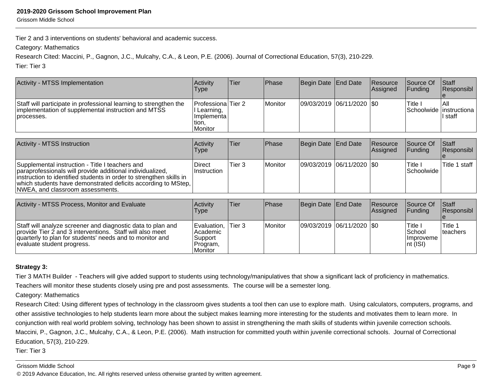Grissom Middle School

Tier 2 and 3 interventions on students' behavioral and academic success.

Category: Mathematics

Research Cited: Maccini, P., Gagnon, J.C., Mulcahy, C.A., & Leon, P.E. (2006). Journal of Correctional Education, 57(3), 210-229.

Tier: Tier 3

| Activity - MTSS Implementation                                                                                                                                                                                                                                                           | Activity<br>Type                                                     | <b>Tier</b>       | Phase          | Begin Date                  | <b>End Date</b> | <b>Resource</b><br><b>Assigned</b> | Source Of<br>Funding         | <b>Staff</b><br>Responsibl                  |
|------------------------------------------------------------------------------------------------------------------------------------------------------------------------------------------------------------------------------------------------------------------------------------------|----------------------------------------------------------------------|-------------------|----------------|-----------------------------|-----------------|------------------------------------|------------------------------|---------------------------------------------|
| Staff will participate in professional learning to strengthen the<br>implementation of supplemental instruction and MTSS<br>processes.                                                                                                                                                   | Professiona Tier 2<br>Learning,<br>  Implementa<br>tion,<br>IMonitor |                   | Monitor        | 09/03/2019  06/11/2020  \$0 |                 |                                    | Title I                      | l All<br>Schoolwide   instructiona<br>staff |
| <b>Activity - MTSS Instruction</b>                                                                                                                                                                                                                                                       | Activity<br>Type                                                     | <b>Tier</b>       | Phase          | Begin Date End Date         |                 | <b>Resource</b><br><b>Assigned</b> | Source Of<br>Funding         | Staff<br>Responsibl                         |
| Supplemental instruction - Title I teachers and<br>paraprofessionals will provide additional individualized,<br>instruction to identified students in order to strengthen skills in<br>which students have demonstrated deficits according to MStep,<br>NWEA, and classroom assessments. | Direct<br>Instruction                                                | Tier <sub>3</sub> | <b>Monitor</b> | 09/03/2019 06/11/2020  \$0  |                 |                                    | Title I<br><b>Schoolwide</b> | Title 1 staff                               |

| Activity - MTSS Process, Monitor and Evaluate                                                                                                                                                                     | Activity<br><b>Type</b>                                            | lTier.        | Phase   | Begin Date End Date         | <b>Resource</b><br><b>Assigned</b> | <b>Source Of</b><br><b>IFunding</b>                                           | <b>Staff</b><br>Responsibl |
|-------------------------------------------------------------------------------------------------------------------------------------------------------------------------------------------------------------------|--------------------------------------------------------------------|---------------|---------|-----------------------------|------------------------------------|-------------------------------------------------------------------------------|----------------------------|
| Staff will analyze screener and diagnostic data to plan and<br>provide Tier 2 and 3 interventions. Staff will also meet<br>quarterly to plan for students' needs and to monitor and<br>evaluate student progress. | Evaluation.<br><b>Academic</b><br> Support <br>Program,<br>Monitor | <b>Tier 3</b> | Monitor | 09/03/2019  06/11/2020  \$0 |                                    | <sup>'</sup> Title i<br><b>School</b><br><i>Ilmproveme</i><br>$ nt$ ( $ SI$ ) | 'Title<br>Iteachers        |

#### **Strategy 3:**

Tier 3 MATH Builder - Teachers will give added support to students using technology/manipulatives that show a significant lack of proficiency in mathematics.

Teachers will monitor these students closely using pre and post assessments. The course will be a semester long.

Category: Mathematics

Research Cited: Using different types of technology in the classroom gives students a tool then can use to explore math. Using calculators, computers, programs, andother assistive technologies to help students learn more about the subject makes learning more interesting for the students and motivates them to learn more. Inconjunction with real world problem solving, technology has been shown to assist in strengthening the math skills of students within juvenile correction schools.Maccini, P., Gagnon, J.C., Mulcahy, C.A., & Leon, P.E. (2006). Math instruction for committed youth within juvenile correctional schools. Journal of CorrectionalEducation, 57(3), 210-229.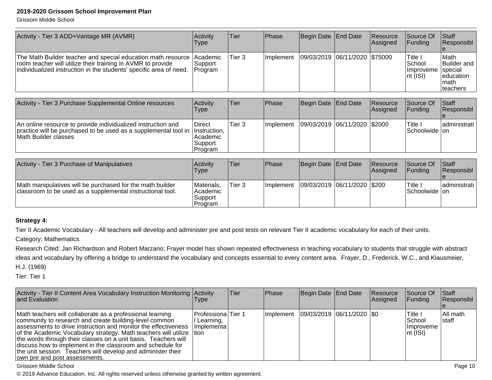Grissom Middle School

| Activity - Tier 3 ADD+Vantage MR (AVMR)                                                                                                                                                           | Activity<br>Type                                         | Tier              | <b>Phase</b> | Begin Date End Date |            | Resource<br>Assigned | Source Of<br>Funding                                      | Staff<br>Responsibl                                                       |
|---------------------------------------------------------------------------------------------------------------------------------------------------------------------------------------------------|----------------------------------------------------------|-------------------|--------------|---------------------|------------|----------------------|-----------------------------------------------------------|---------------------------------------------------------------------------|
| The Math Builder teacher and special education math resource<br>room teacher will utilize their training in AVMR to provide<br>individualized instruction in the students' specific area of need. | Academic<br>Support<br>Program                           | Tier 3            | Implement    | 09/03/2019          | 06/11/2020 | \$75000              | Title I<br><b>School</b><br>Improveme<br>$\vert$ nt (ISI) | Math<br><b>Builder</b> and<br>special<br>leducation<br>Imath<br>lteachers |
|                                                                                                                                                                                                   |                                                          |                   |              |                     |            |                      |                                                           |                                                                           |
| Activity - Tier 3 Purchase Supplemental Online resources                                                                                                                                          | Activity<br>Type                                         | Tier              | Phase        | Begin Date End Date |            | Resource<br>Assigned | Source Of<br>Funding                                      | Staff<br> Responsibl                                                      |
| An online resource to provide individualized instruction and<br>practice will be purchased to be used as a supplemental tool in<br>Math Builder classes                                           | Direct<br>Instruction,<br>Academic<br>Support<br>Program | Tier <sub>3</sub> | Implement    | 09/03/2019          | 06/11/2020 | \$2000               | Title I<br>Schoolwide on                                  | ladministrati                                                             |
|                                                                                                                                                                                                   |                                                          |                   |              |                     |            |                      |                                                           |                                                                           |
| Activity - Tier 3 Purchase of Manipulatives                                                                                                                                                       | Activity<br>Type                                         | Tier              | Phase        | Begin Date          | End Date   | Resource<br>Assigned | Source Of<br> Funding                                     | Staff<br>Responsibl                                                       |
|                                                                                                                                                                                                   |                                                          |                   |              |                     |            |                      |                                                           |                                                                           |

| Math manipulatives will be purchased for the math builder<br>classroom to be used as a supplemental instructional tool. | Materials,<br>Academic<br>Support<br>Program | Tier <sub>3</sub> | Ilmplement | 09/03/2019  06/11/2020  \$200 |  | Title<br> Schoolwide  on | ladministrati l |
|-------------------------------------------------------------------------------------------------------------------------|----------------------------------------------|-------------------|------------|-------------------------------|--|--------------------------|-----------------|

#### **Strategy 4:**

Tier II Academic Vocabulary - All teachers will develop and administer pre and post tests on relevant Tier II academic vocabulary for each of their units.

Category: Mathematics

 Research Cited: Jan Richardson and Robert Marzano; Frayer model has shown repeated effectiveness in teaching vocabulary to students that struggle with abstractideas and vocabulary by offering a bridge to understand the vocabulary and concepts essential to every content area. Frayer, D., Frederick, W.C., and Klausmeier,H.J. (1969)

Tier: Tier 1

| Activity - Tier II Content Area Vocabulary Instruction Monitoring Activity<br>and Evaluation                                                                                                                                                                                                                                                                                                                                                                                                      | l ype                                               | Tier | Phase     | Begin Date End Date         | Resource<br><b>Assigned</b> | Source Of<br><b>Funding</b>                                 | <b>Staff</b><br>Responsibl |
|---------------------------------------------------------------------------------------------------------------------------------------------------------------------------------------------------------------------------------------------------------------------------------------------------------------------------------------------------------------------------------------------------------------------------------------------------------------------------------------------------|-----------------------------------------------------|------|-----------|-----------------------------|-----------------------------|-------------------------------------------------------------|----------------------------|
| Math teachers will collaborate as a professional learning<br>community to research and create building-level common<br>assessments to drive instruction and monitor the effectiveness<br>of the Academic Vocabulary strategy. Math teachers will utilize   tion<br>the words through their classes on a unit basis. Teachers will<br>Idiscuss how to implement in the classroom and schedule for<br>the unit session. Teachers will develop and administer their<br>own pre and post assessments. | IProfessionalTier 1<br>l Learning,<br>Ilmplementa l |      | Implement | 09/03/2019  06/11/2020  \$0 |                             | lTitle I<br>lSchool<br><i>Improveme</i><br>$\vert$ nt (ISI) | All math<br>Istaff         |

Grissom Middle School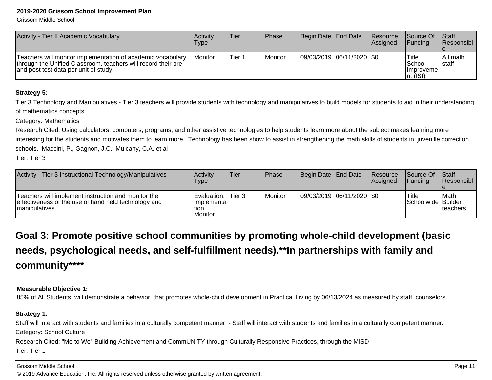Grissom Middle School

| Activity - Tier II Academic Vocabulary                                                                                                                                | <b>Activity</b><br>Type | Tier   | Phase   | Begin Date End Date       | <b>Resource</b><br><b>Assianed</b> | <b>Source Of</b><br><b>IFundina</b>                     | <b>Staff</b><br><b>IResponsibl</b> |
|-----------------------------------------------------------------------------------------------------------------------------------------------------------------------|-------------------------|--------|---------|---------------------------|------------------------------------|---------------------------------------------------------|------------------------------------|
| Teachers will monitor implementation of academic vocabulary<br>through the Unified Classroom, teachers will record their pre<br>and post test data per unit of study. | <b>Monitor</b>          | Tier 1 | Monitor | 09/03/2019 06/11/2020 \$0 |                                    | Title<br>School<br><b>Ilmproveme</b><br>$ nt$ ( $ SI$ ) | IAII math<br>Istaff                |

#### **Strategy 5:**

Tier 3 Technology and Manipulatives - Tier 3 teachers will provide students with technology and manipulatives to build models for students to aid in their understandingof mathematics concepts.

Category: Mathematics

Research Cited: Using calculators, computers, programs, and other assistive technologies to help students learn more about the subject makes learning more interesting for the students and motivates them to learn more. Technology has been show to assist in strengthening the math skills of students in juvenille correctionschools. Maccini, P., Gagnon, J.C., Mulcahy, C.A. et al

Tier: Tier 3

| Activity - Tier 3 Instructional Technology/Manipulatives                                                                       | Activity<br><b>Type</b>                                    | lTier. | Phase   | Begin Date End Date     | Resource<br>Assigned | <b>Source Of</b><br><b>IFundina</b> | Staff<br><b>Responsibl</b> |
|--------------------------------------------------------------------------------------------------------------------------------|------------------------------------------------------------|--------|---------|-------------------------|----------------------|-------------------------------------|----------------------------|
| Teachers will implement instruction and monitor the<br>effectiveness of the use of hand held technology and<br>Imanipulatives. | Evaluation, Tier 3<br>Ilmplementa l<br>ltion.<br>l Monitor |        | Monitor | 09/03/2019 06/11/2020 0 |                      | Title.<br>Schoolwide Builder        | Math<br>Iteachers          |

**Goal 3: Promote positive school communities by promoting whole-child development (basicneeds, psychological needs, and self-fulfillment needs).\*\*In partnerships with family andcommunity\*\*\*\***

#### **Measurable Objective 1:**

85% of All Students will demonstrate a behavior that promotes whole-child development in Practical Living by 06/13/2024 as measured by staff, counselors.

#### **Strategy 1:**

Staff will interact with students and families in a culturally competent manner. - Staff will interact with students and families in a culturally competent manner.Category: School CultureResearch Cited: "Me to We" Building Achievement and CommUNITY through Culturally Responsive Practices, through the MISD

Tier: Tier 1

Grissom Middle School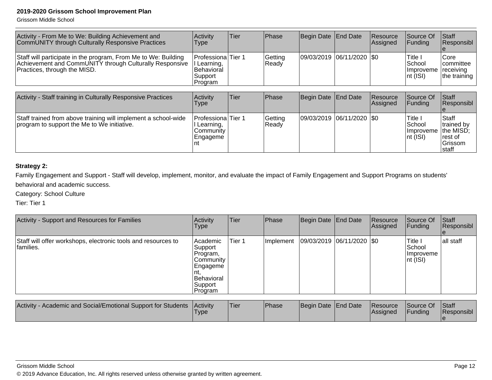Grissom Middle School

| Activity - From Me to We: Building Achievement and<br>CommUNITY through Culturally Responsive Practices                                                   | Activity<br><b>Type</b>                                                          | Tier | <b>IPhase</b>    | Begin Date   End Date     | <b>IResource</b><br><b>Assigned</b> | <b>Source Of</b><br>IFundina                            | Staff<br><b>Responsibl</b>                                    |
|-----------------------------------------------------------------------------------------------------------------------------------------------------------|----------------------------------------------------------------------------------|------|------------------|---------------------------|-------------------------------------|---------------------------------------------------------|---------------------------------------------------------------|
| Staff will participate in the program, From Me to We: Building<br>Achievement and CommUNITY through Culturally Responsive<br>Practices, through the MISD. | <b>ProfessionalTier 1</b><br>II Learning,<br>IBehavioral<br> Support <br>Program |      | Getting<br>Ready | 09/03/2019 06/11/2020 \$0 |                                     | Title i<br>l School<br>Improveme receiving<br>Int (ISI) | <b>Core</b><br><i>committee</i><br>the training $\frac{1}{2}$ |

| Activity - Staff training in Culturally Responsive Practices                                                  | Activity<br>Type                                                         | Tier | Phase              | Begin Date End Date       | <b>Resource</b><br>Assigned | Source Of<br>IFundina                                                   | <b>Staff</b><br>Responsibl                                         |
|---------------------------------------------------------------------------------------------------------------|--------------------------------------------------------------------------|------|--------------------|---------------------------|-----------------------------|-------------------------------------------------------------------------|--------------------------------------------------------------------|
| Staff trained from above training will implement a school-wide<br>program to support the Me to We initiative. | Professiona   Tier 1<br>Learning,<br><b>Community</b><br> Engageme<br>nt |      | Getting<br>l Readv | 09/03/2019 06/11/2020 \$0 |                             | <sup>I</sup> Title I<br><b>School</b><br><i>Ilmproveme</i><br>Int (ISI) | Staff<br>trained by<br>the MISD;<br>Irest of<br>lGrissom<br>∣staff |

#### **Strategy 2:**

Family Engagement and Support - Staff will develop, implement, monitor, and evaluate the impact of Family Engagement and Support Programs on students' behavioral and academic success.

Category: School Culture

| Activity - Support and Resources for Families                              | Activity<br><b>Type</b>                                                                           | Tier   | Phase                  | Begin Date End Date         | Resource<br>Assigned | Source Of<br><b>Funding</b>                                         | <b>Staff</b><br>Responsibl |
|----------------------------------------------------------------------------|---------------------------------------------------------------------------------------------------|--------|------------------------|-----------------------------|----------------------|---------------------------------------------------------------------|----------------------------|
| Staff will offer workshops, electronic tools and resources to<br>families. | Academic<br> Support <br>Program,<br> Community<br> Engageme<br>Behavioral<br>Support<br> Program | Tier 1 | <sub>I</sub> Implement | 09/03/2019  06/11/2020  \$0 |                      | <b>Title I</b><br><b>School</b><br><b>Ilmproveme</b><br>$\ln$ (ISI) | lall staff                 |

| - Academic and Social/Emotional Support for Students<br><b>Activity</b> | <b>Activity</b><br><b>I</b> vpe | 'Tier | <b>Phase</b> | Begin Date End Date |  | <b>Resource</b><br><b>Assigned</b> | Source Of<br>Funding | <b>Staff</b><br>Responsibl |
|-------------------------------------------------------------------------|---------------------------------|-------|--------------|---------------------|--|------------------------------------|----------------------|----------------------------|
|-------------------------------------------------------------------------|---------------------------------|-------|--------------|---------------------|--|------------------------------------|----------------------|----------------------------|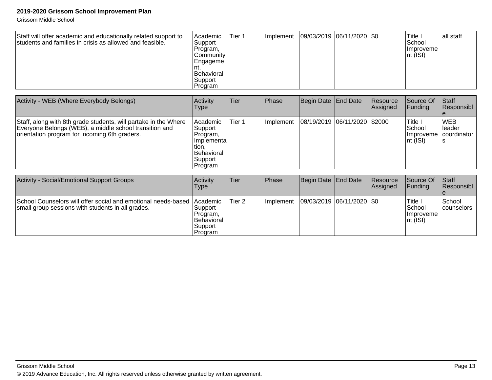Grissom Middle School

| Staff will offer academic and educationally related support to<br>students and families in crisis as allowed and feasible. | <b>Academic</b><br>Support<br>Program,<br><b>Community</b><br> Engageme<br><i><b>Behavioral</b></i> | Tier 1 | <b>Ilmplement</b> | 09/03/2019  06/11/2020  \$0 |  | Title I<br>School<br><b>Ilmproveme</b><br>$ nt($ ISI $ $ | lall staff |
|----------------------------------------------------------------------------------------------------------------------------|-----------------------------------------------------------------------------------------------------|--------|-------------------|-----------------------------|--|----------------------------------------------------------|------------|
|                                                                                                                            | Support<br>Program                                                                                  |        |                   |                             |  |                                                          |            |

| Activity - WEB (Where Everybody Belongs)                                                                                                                                   | Activity<br>Type                                                                                     | <b>Tier</b> | Phase     | Begin Date   End Date          | <b>Resource</b><br>Assigned | Source Of<br><b>Funding</b>                                          | <b>Staff</b><br>Responsibl |
|----------------------------------------------------------------------------------------------------------------------------------------------------------------------------|------------------------------------------------------------------------------------------------------|-------------|-----------|--------------------------------|-----------------------------|----------------------------------------------------------------------|----------------------------|
| Staff, along with 8th grade students, will partake in the Where<br>Everyone Belongs (WEB), a middle school transition and<br>orientation program for incoming 6th graders. | Academic<br>Support<br>IProgram.<br>Ilmplementa<br>tion.<br><b>Behavioral</b><br>Support<br> Program | Tier 1      | Implement | 08/19/2019  06/11/2020  \$2000 |                             | Title I<br><b>School</b><br>Improveme coordinator<br>$ nt$ ( $ SI$ ) | <b>IWEB</b><br>Ileader     |

| Activity - Social/Emotional Support Groups                                                                         | <b>Activity</b><br><b>Type</b>                                                           | lTier  | <b>Phase</b> | Begin Date End Date         | <b>Resource</b><br>Assigned | <b>Source Of</b><br>IFundina                            | <b>IStaff</b><br><b>Responsibl</b> |
|--------------------------------------------------------------------------------------------------------------------|------------------------------------------------------------------------------------------|--------|--------------|-----------------------------|-----------------------------|---------------------------------------------------------|------------------------------------|
| School Counselors will offer social and emotional needs-based<br>small group sessions with students in all grades. | <i>Academic</i><br>Support<br>Program,<br><i><b>Behavioral</b></i><br>Support<br>Program | Tier 2 | Implement    | 09/03/2019  06/11/2020  \$0 |                             | 'Title I<br>lSchool<br><b>Ilmproveme</b><br>$ nt$ (ISI) | <b>School</b><br><b>counselors</b> |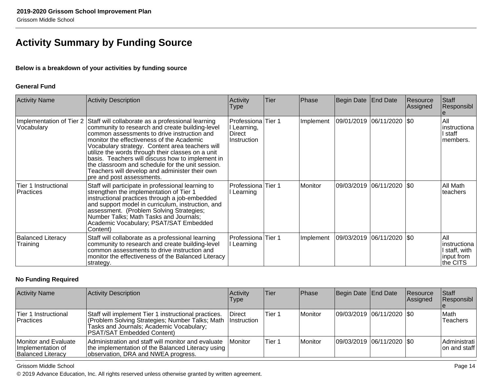## **Activity Summary by Funding Source**

#### **Below is a breakdown of your activities by funding source**

#### **General Fund**

| <b>Activity Name</b>                     | Activity Description                                                                                                                                                                                                                                                                                                                                                                                                                                                                                                     | Activity<br><b>Type</b>                                           | Tier | Phase     | Begin Date   End Date |                             | Resource<br>Assigned | Staff<br>Responsibl                                            |
|------------------------------------------|--------------------------------------------------------------------------------------------------------------------------------------------------------------------------------------------------------------------------------------------------------------------------------------------------------------------------------------------------------------------------------------------------------------------------------------------------------------------------------------------------------------------------|-------------------------------------------------------------------|------|-----------|-----------------------|-----------------------------|----------------------|----------------------------------------------------------------|
| Vocabulary                               | Implementation of Tier 2 Staff will collaborate as a professional learning<br>community to research and create building-level<br>common assessments to drive instruction and<br>monitor the effectiveness of the Academic<br>Vocabulary strategy. Content area teachers will<br>utilize the words through their classes on a unit<br>basis. Teachers will discuss how to implement in<br>the classroom and schedule for the unit session.<br>Teachers will develop and administer their own<br>pre and post assessments. | <b>Professiona</b> Tier 1<br>I Learning,<br>Direct<br>Instruction |      | Implement |                       | 09/01/2019  06/11/2020  \$0 |                      | All<br>instructiona<br>l staff<br>members.                     |
| Tier 1 Instructional<br><b>Practices</b> | Staff will participate in professional learning to<br>strengthen the implementation of Tier 1<br>instructional practices through a job-embedded<br>and support model in curriculum, instruction, and<br>assessment. (Problem Solving Strategies;<br>Number Talks; Math Tasks and Journals;<br>Academic Vocabulary; PSAT/SAT Embedded<br>Content)                                                                                                                                                                         | <b>Professiona</b> Tier 1<br>Learning                             |      | Monitor   |                       | 09/03/2019 06/11/2020 \$0   |                      | All Math<br>teachers                                           |
| <b>Balanced Literacy</b><br>Training     | Staff will collaborate as a professional learning<br>community to research and create building-level<br>common assessments to drive instruction and<br>monitor the effectiveness of the Balanced Literacy<br>strategy.                                                                                                                                                                                                                                                                                                   | <b>Professiona</b> Tier 1<br>I Learning                           |      | Implement | 09/03/2019            | 06/11/2020   \$0            |                      | l All<br>instructiona<br>staff, with<br>input from<br>the CITS |

#### **No Funding Required**

| <b>Activity Name</b>                                                  | <b>Activity Description</b>                                                                                                                                                       | Activity<br><b>Type</b>      | <b>Tier</b> | <b>Phase</b>          | Begin Date End Date         | Resource<br><b>Assigned</b> | <b>Staff</b><br>Responsibl   |
|-----------------------------------------------------------------------|-----------------------------------------------------------------------------------------------------------------------------------------------------------------------------------|------------------------------|-------------|-----------------------|-----------------------------|-----------------------------|------------------------------|
| Tier 1 Instructional<br>Practices                                     | Staff will implement Tier 1 instructional practices.<br>(Problem Solving Strategies; Number Talks; Math<br>Tasks and Journals; Academic Vocabulary;<br>PSAT/SAT Embedded Content) | Direct<br><b>Instruction</b> | Tier 1      | <i>I</i> Monitor      | 09/03/2019 06/11/2020   \$0 |                             | lMath<br><b>Teachers</b>     |
| Monitor and Evaluate<br>Implementation of<br><b>Balanced Literacy</b> | Administration and staff will monitor and evaluate<br>the implementation of the Balanced Literacy using<br>observation, DRA and NWEA progress.                                    | <b>IMonitor</b>              | Tier 1      | <i><b>Monitor</b></i> | 09/03/2019 06/11/2020 \$0   |                             | Administrati<br>on and staff |

Grissom Middle School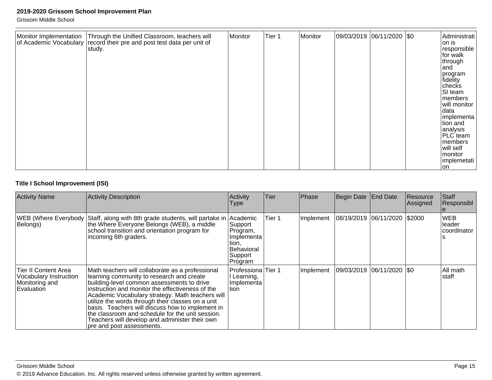Grissom Middle School

| Monitor Implementation   Through the Unified Classroom, teachers will<br>Monitor<br>of Academic Vocabulary record their pre and post test data per unit of<br>study. | Tier 1 | Monitor | 09/03/2019 06/11/2020 \$0 |  |  | Administrati<br>on is<br>responsible<br>for walk<br>through<br>land<br>program<br>fidelity<br>checks<br>SI team<br>members<br>will monitor<br>data<br>implementa<br>tion and<br>analysis<br><b>PLC</b> team<br>members<br>will self<br>monitor |
|----------------------------------------------------------------------------------------------------------------------------------------------------------------------|--------|---------|---------------------------|--|--|------------------------------------------------------------------------------------------------------------------------------------------------------------------------------------------------------------------------------------------------|
|----------------------------------------------------------------------------------------------------------------------------------------------------------------------|--------|---------|---------------------------|--|--|------------------------------------------------------------------------------------------------------------------------------------------------------------------------------------------------------------------------------------------------|

#### **Title I School Improvement (ISI)**

| <b>Activity Name</b>                                                           | <b>Activity Description</b>                                                                                                                                                                                                                                                                                                                                                                                                                                                                     | Activity<br><b>Type</b>                                                                    | Tier   | Phase     | Begin Date | End Date                      | Resource<br> Assigned | Staff<br>Responsibl                  |
|--------------------------------------------------------------------------------|-------------------------------------------------------------------------------------------------------------------------------------------------------------------------------------------------------------------------------------------------------------------------------------------------------------------------------------------------------------------------------------------------------------------------------------------------------------------------------------------------|--------------------------------------------------------------------------------------------|--------|-----------|------------|-------------------------------|-----------------------|--------------------------------------|
| Belongs)                                                                       | WEB (Where Everybody Staff, along with 8th grade students, will partake in<br>the Where Everyone Belongs (WEB), a middle<br>school transition and orientation program for<br>incoming 6th graders.                                                                                                                                                                                                                                                                                              | Academic<br>Support<br>Program,<br>Implementa<br>tion,<br>Behavioral<br>Support<br>Program | Tier 1 | Implement |            | 08/19/2019 06/11/2020 \$2000  |                       | <b>WEB</b><br>leader<br>Icoordinator |
| Tier II Content Area<br>Vocabulary Instruction<br>Monitoring and<br>Evaluation | Math teachers will collaborate as a professional<br>learning community to research and create<br>building-level common assessments to drive<br>instruction and monitor the effectiveness of the<br>Academic Vocabulary strategy. Math teachers will<br>utilize the words through their classes on a unit<br>basis. Teachers will discuss how to implement in<br>the classroom and schedule for the unit session.<br>Teachers will develop and administer their own<br>pre and post assessments. | Professiona Tier 1<br>Learning,<br> Implementa <br>tion                                    |        | Implement |            | $ 09/03/2019 06/11/2020 $ \$0 |                       | All math<br>staff                    |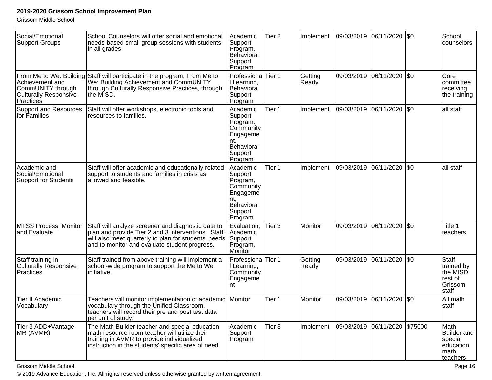Grissom Middle School

| Social/Emotional<br><b>Support Groups</b>                                         | School Counselors will offer social and emotional<br>needs-based small group sessions with students<br>in all grades.                                                                                             | Academic<br>Support<br>Program,<br>Behavioral<br>Support<br>Program                                 | Tier <sub>2</sub> | Implement        | 09/03/2019  06/11/2020 |            | \$0     | School<br>counselors                                                   |
|-----------------------------------------------------------------------------------|-------------------------------------------------------------------------------------------------------------------------------------------------------------------------------------------------------------------|-----------------------------------------------------------------------------------------------------|-------------------|------------------|------------------------|------------|---------|------------------------------------------------------------------------|
| Achievement and<br>CommUNITY through<br><b>Culturally Responsive</b><br>Practices | From Me to We: Building Staff will participate in the program, From Me to<br>We: Building Achievement and CommUNITY<br>through Culturally Responsive Practices, through<br>the MISD.                              | Professiona Tier 1<br>I Learning,<br>Behavioral<br>Support<br>Program                               |                   | Getting<br>Ready | 09/03/2019             | 06/11/2020 | \$0     | Core<br>committee<br>receiving<br>the training                         |
| <b>Support and Resources</b><br>for Families                                      | Staff will offer workshops, electronic tools and<br>resources to families.                                                                                                                                        | Academic<br>Support<br>Program,<br>Community<br>Engageme<br>nt.<br>Behavioral<br>Support<br>Program | Tier 1            | Implement        | 09/03/2019             | 06/11/2020 | \$0     | all staff                                                              |
| Academic and<br>Social/Emotional<br><b>Support for Students</b>                   | Staff will offer academic and educationally related<br>support to students and families in crisis as<br>allowed and feasible.                                                                                     | Academic<br>Support<br>Program,<br>Community<br>Engageme<br>nt.<br>Behavioral<br>Support<br>Program | Tier 1            | Implement        | 09/03/2019             | 06/11/2020 | \$0     | all staff                                                              |
| <b>MTSS Process, Monitor</b><br>and Evaluate                                      | Staff will analyze screener and diagnostic data to<br>plan and provide Tier 2 and 3 interventions. Staff<br>will also meet quarterly to plan for students' needs<br>and to monitor and evaluate student progress. | Evaluation,<br>Academic<br>Support<br>Program,<br>Monitor                                           | Tier 3            | Monitor          | 09/03/2019             | 06/11/2020 | \$0     | Title 1<br>teachers                                                    |
| Staff training in<br><b>Culturally Responsive</b><br>Practices                    | Staff trained from above training will implement a<br>school-wide program to support the Me to We<br>linitiative.                                                                                                 | Professiona Tier 1<br>I Learning,<br>Community<br>Engageme<br>nt                                    |                   | Getting<br>Ready | 09/03/2019 06/11/2020  |            | \$0     | Staff<br>trained by<br>the MISD;<br>rest of<br>Grissom<br>staff        |
| Tier II Academic<br>Vocabulary                                                    | Teachers will monitor implementation of academic<br>vocabulary through the Unified Classroom,<br>teachers will record their pre and post test data<br>per unit of study.                                          | Monitor                                                                                             | Tier 1            | Monitor          | 09/03/2019             | 06/11/2020 | \$0     | All math<br>staff                                                      |
| Tier 3 ADD+Vantage<br>MR (AVMR)                                                   | The Math Builder teacher and special education<br>math resource room teacher will utilize their<br>training in AVMR to provide individualized<br>instruction in the students' specific area of need.              | Academic<br>Support<br>Program                                                                      | Tier 3            | Implement        | 09/03/2019 06/11/2020  |            | \$75000 | Math<br><b>Builder</b> and<br>special<br>education<br>math<br>teachers |

Grissom Middle School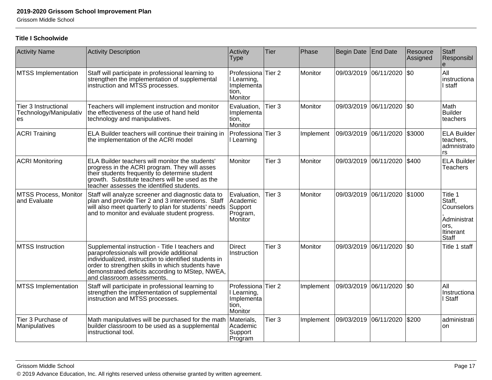Grissom Middle School

#### **Title I Schoolwide**

| <b>Activity Name</b>                                 | <b>Activity Description</b>                                                                                                                                                                                                                                                                 | Activity<br><b>Type</b>                                                      | Tier              | Phase     | Begin Date | <b>End Date</b>       | Resource<br>Assigned | Staff<br>Responsibl                                                                 |
|------------------------------------------------------|---------------------------------------------------------------------------------------------------------------------------------------------------------------------------------------------------------------------------------------------------------------------------------------------|------------------------------------------------------------------------------|-------------------|-----------|------------|-----------------------|----------------------|-------------------------------------------------------------------------------------|
| <b>MTSS Implementation</b>                           | Staff will participate in professional learning to<br>strengthen the implementation of supplemental<br>instruction and MTSS processes.                                                                                                                                                      | Professiona<br>I Learning,<br>Implementa<br>tion,<br>Monitor                 | Tier 2            | Monitor   |            | 09/03/2019 06/11/2020 | I\$0                 | All<br>instructiona<br>I staff                                                      |
| Tier 3 Instructional<br>Technology/Manipulativ<br>es | Teachers will implement instruction and monitor<br>the effectiveness of the use of hand held<br>technology and manipulatives.                                                                                                                                                               | Evaluation,<br>Implementa<br>tion,<br>Monitor                                | Tier <sub>3</sub> | Monitor   |            | 09/03/2019 06/11/2020 | $ $ \$0              | Math<br><b>Builder</b><br>teachers                                                  |
| <b>ACRI Training</b>                                 | ELA Builder teachers will continue their training in<br>the implementation of the ACRI model                                                                                                                                                                                                | Professiona Tier 3<br>Learning                                               |                   | Implement | 09/03/2019 | 06/11/2020            | \$3000               | <b>ELA Builder</b><br>teachers,<br>admnistrato<br>rs                                |
| <b>ACRI Monitoring</b>                               | ELA Builder teachers will monitor the students'<br>progress in the ACRI program. They will asses<br>their students frequently to determine student<br>growth. Substitute teachers will be used as the<br>teacher assesses the identified students.                                          | Monitor                                                                      | Tier <sub>3</sub> | Monitor   |            | 09/03/2019 06/11/2020 | \$400                | <b>ELA Builder</b><br><b>Teachers</b>                                               |
| MTSS Process, Monitor<br>and Evaluate                | Staff will analyze screener and diagnostic data to<br>plan and provide Tier 2 and 3 interventions. Staff<br>will also meet quarterly to plan for students' needs<br>and to monitor and evaluate student progress.                                                                           | Evaluation,<br>Academic<br>Support<br>Program,<br>Monitor                    | Tier <sub>3</sub> | Monitor   |            | 09/03/2019 06/11/2020 | \$1000               | Title 1<br>Staff,<br>Counselors<br>Administrat<br>ors,<br>Itinerant<br><b>Staff</b> |
| MTSS Instruction                                     | Supplemental instruction - Title I teachers and<br>paraprofessionals will provide additional<br>individualized, instruction to identified students in<br>order to strengthen skills in which students have<br>demonstrated deficits according to MStep, NWEA,<br>and classroom assessments. | <b>Direct</b><br>Instruction                                                 | Tier <sub>3</sub> | Monitor   | 09/03/2019 | 06/11/2020            | \$0                  | Title 1 staff                                                                       |
| <b>MTSS Implementation</b>                           | Staff will participate in professional learning to<br>strengthen the implementation of supplemental<br>instruction and MTSS processes.                                                                                                                                                      | Professiona <sup>Tier</sup> 2<br>Learning,<br>Implementa<br>tion,<br>Monitor |                   | Implement | 09/03/2019 | 06/11/2020            | \$0                  | All<br>Instructiona<br>I Staff                                                      |
| Tier 3 Purchase of<br>Manipulatives                  | Math manipulatives will be purchased for the math<br>builder classroom to be used as a supplemental<br>instructional tool.                                                                                                                                                                  | Materials,<br>Academic<br>Support<br>Program                                 | Tier <sub>3</sub> | Implement | 09/03/2019 | 06/11/2020            | \$200                | administrati<br><b>on</b>                                                           |